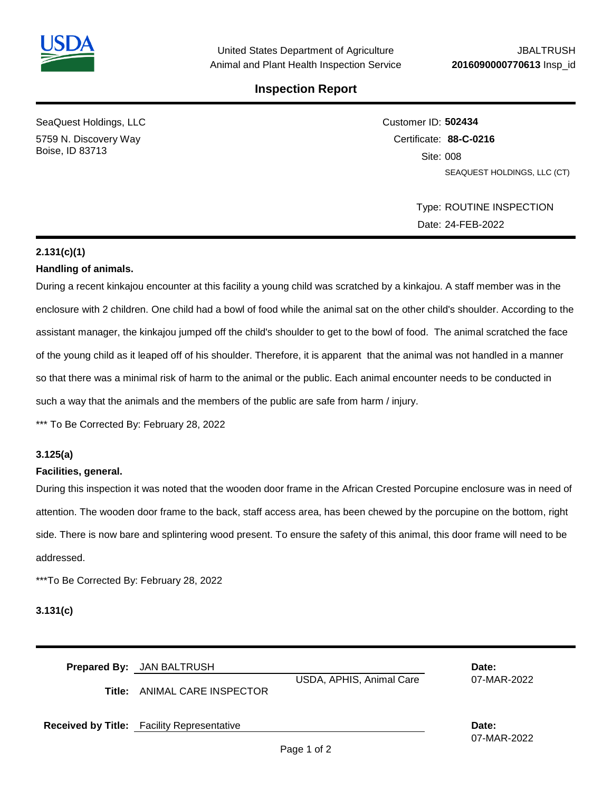

### **Inspection Report**

SeaQuest Holdings, LLC 5759 N. Discovery Way Boise, ID 83713

Customer ID: **502434** Certificate: **88-C-0216**  Site: 008 SEAQUEST HOLDINGS, LLC (CT)

> Type: ROUTINE INSPECTION Date: 24-FEB-2022

## **2.131(c)(1)**

### **Handling of animals.**

During a recent kinkajou encounter at this facility a young child was scratched by a kinkajou. A staff member was in the enclosure with 2 children. One child had a bowl of food while the animal sat on the other child's shoulder. According to the assistant manager, the kinkajou jumped off the child's shoulder to get to the bowl of food. The animal scratched the face of the young child as it leaped off of his shoulder. Therefore, it is apparent that the animal was not handled in a manner so that there was a minimal risk of harm to the animal or the public. Each animal encounter needs to be conducted in such a way that the animals and the members of the public are safe from harm / injury.

\*\*\* To Be Corrected By: February 28, 2022

### **3.125(a)**

#### **Facilities, general.**

During this inspection it was noted that the wooden door frame in the African Crested Porcupine enclosure was in need of attention. The wooden door frame to the back, staff access area, has been chewed by the porcupine on the bottom, right side. There is now bare and splintering wood present. To ensure the safety of this animal, this door frame will need to be addressed.

\*\*\*To Be Corrected By: February 28, 2022

**3.131(c)**

| <b>Prepared By:</b> JAN BALTRUSH | Date: |
|----------------------------------|-------|
|                                  |       |

**Title:** ANIMAL CARE INSPECTOR

USDA, APHIS, Animal Care 07-MAR-2022

**Received by Title:** Facility Representative **Date:**

07-MAR-2022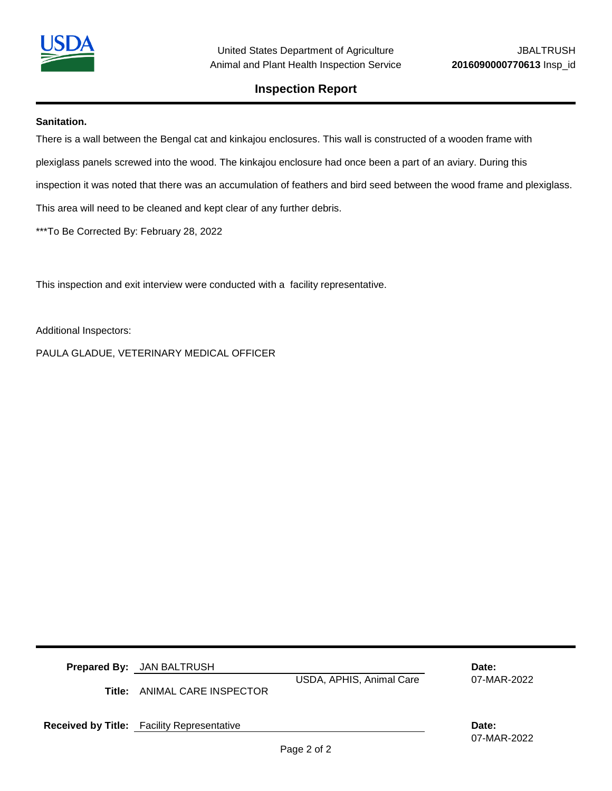

### **Inspection Report**

#### **Sanitation.**

There is a wall between the Bengal cat and kinkajou enclosures. This wall is constructed of a wooden frame with plexiglass panels screwed into the wood. The kinkajou enclosure had once been a part of an aviary. During this inspection it was noted that there was an accumulation of feathers and bird seed between the wood frame and plexiglass. This area will need to be cleaned and kept clear of any further debris.

\*\*\*To Be Corrected By: February 28, 2022

This inspection and exit interview were conducted with a facility representative.

Additional Inspectors:

PAULA GLADUE, VETERINARY MEDICAL OFFICER

**Prepared By:** JAN BALTRUSH **Date:**

**Title:** ANIMAL CARE INSPECTOR

USDA, APHIS, Animal Care 07-MAR-2022

**Received by Title:** Facility Representative **Date: Date: Date: Date: Date:** 

07-MAR-2022